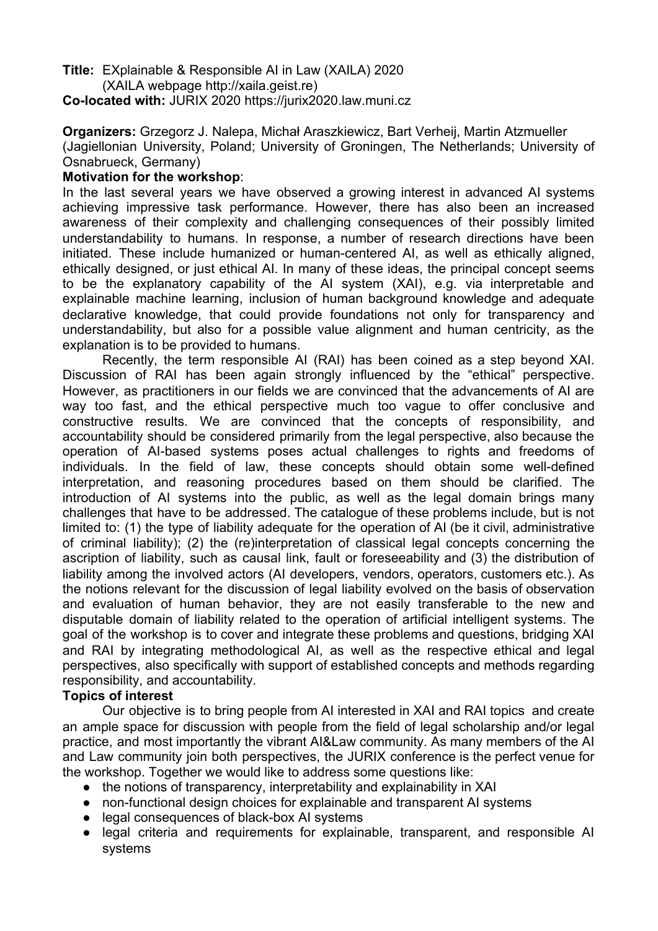**Title:** EXplainable & Responsible AI in Law (XAILA) 2020 (XAILA webpage http://xaila.geist.re) **Co-located with:** JURIX 2020 https://jurix2020.law.muni.cz

**Organizers:** Grzegorz J. Nalepa, Michał Araszkiewicz, Bart Verheij, Martin Atzmueller (Jagiellonian University, Poland; University of Groningen, The Netherlands; University of Osnabrueck, Germany)

## **Motivation for the workshop**:

In the last several years we have observed a growing interest in advanced AI systems achieving impressive task performance. However, there has also been an increased awareness of their complexity and challenging consequences of their possibly limited understandability to humans. In response, a number of research directions have been initiated. These include humanized or human-centered AI, as well as ethically aligned, ethically designed, or just ethical AI. In many of these ideas, the principal concept seems to be the explanatory capability of the AI system (XAI), e.g. via interpretable and explainable machine learning, inclusion of human background knowledge and adequate declarative knowledge, that could provide foundations not only for transparency and understandability, but also for a possible value alignment and human centricity, as the explanation is to be provided to humans.

Recently, the term responsible AI (RAI) has been coined as a step beyond XAI. Discussion of RAI has been again strongly influenced by the "ethical" perspective. However, as practitioners in our fields we are convinced that the advancements of AI are way too fast, and the ethical perspective much too vague to offer conclusive and constructive results. We are convinced that the concepts of responsibility, and accountability should be considered primarily from the legal perspective, also because the operation of AI-based systems poses actual challenges to rights and freedoms of individuals. In the field of law, these concepts should obtain some well-defined interpretation, and reasoning procedures based on them should be clarified. The introduction of AI systems into the public, as well as the legal domain brings many challenges that have to be addressed. The catalogue of these problems include, but is not limited to: (1) the type of liability adequate for the operation of AI (be it civil, administrative of criminal liability); (2) the (re)interpretation of classical legal concepts concerning the ascription of liability, such as causal link, fault or foreseeability and (3) the distribution of liability among the involved actors (AI developers, vendors, operators, customers etc.). As the notions relevant for the discussion of legal liability evolved on the basis of observation and evaluation of human behavior, they are not easily transferable to the new and disputable domain of liability related to the operation of artificial intelligent systems. The goal of the workshop is to cover and integrate these problems and questions, bridging XAI and RAI by integrating methodological AI, as well as the respective ethical and legal perspectives, also specifically with support of established concepts and methods regarding responsibility, and accountability.

## **Topics of interest**

Our objective is to bring people from AI interested in XAI and RAI topics and create an ample space for discussion with people from the field of legal scholarship and/or legal practice, and most importantly the vibrant AI&Law community. As many members of the AI and Law community join both perspectives, the JURIX conference is the perfect venue for the workshop. Together we would like to address some questions like:

- the notions of transparency, interpretability and explainability in XAI
- non-functional design choices for explainable and transparent AI systems
- legal consequences of black-box AI systems
- legal criteria and requirements for explainable, transparent, and responsible AI systems